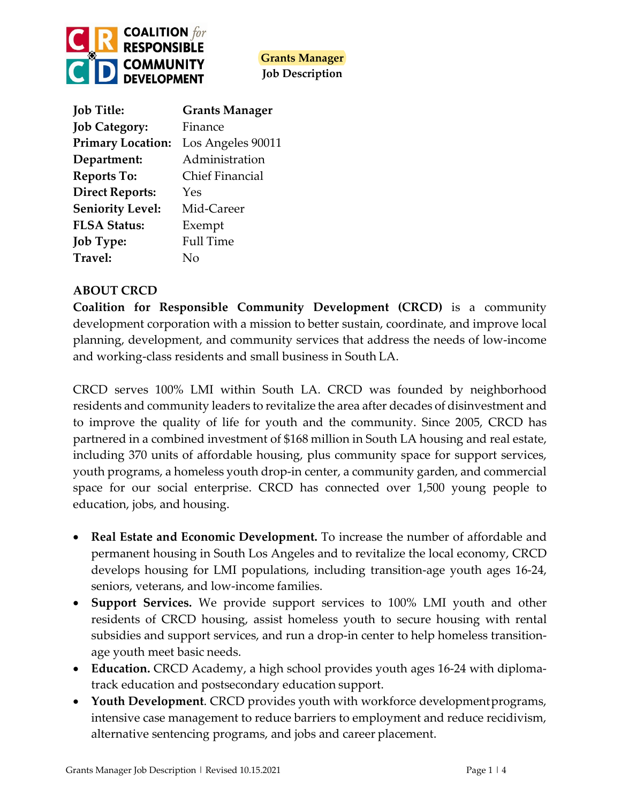

| <b>Job Title:</b>        | <b>Grants Manager</b>  |
|--------------------------|------------------------|
| <b>Job Category:</b>     | Finance                |
| <b>Primary Location:</b> | Los Angeles 90011      |
| Department:              | Administration         |
| <b>Reports To:</b>       | <b>Chief Financial</b> |
| <b>Direct Reports:</b>   | Yes                    |
| <b>Seniority Level:</b>  | Mid-Career             |
| <b>FLSA Status:</b>      | Exempt                 |
| <b>Job Type:</b>         | <b>Full Time</b>       |
| Travel:                  | N٥                     |

# **ABOUT CRCD**

**Coalition for Responsible Community Development (CRCD)** is a community development corporation with a mission to better sustain, coordinate, and improve local planning, development, and community services that address the needs of low-income and working-class residents and small business in South LA.

CRCD serves 100% LMI within South LA. CRCD was founded by neighborhood residents and community leaders to revitalize the area after decades of disinvestment and to improve the quality of life for youth and the community. Since 2005, CRCD has partnered in a combined investment of \$168 million in South LA housing and real estate, including 370 units of affordable housing, plus community space for support services, youth programs, a homeless youth drop-in center, a community garden, and commercial space for our social enterprise. CRCD has connected over 1,500 young people to education, jobs, and housing.

- **Real Estate and Economic Development.** To increase the number of affordable and permanent housing in South Los Angeles and to revitalize the local economy, CRCD develops housing for LMI populations, including transition-age youth ages 16-24, seniors, veterans, and low-income families.
- **Support Services.** We provide support services to 100% LMI youth and other residents of CRCD housing, assist homeless youth to secure housing with rental subsidies and support services, and run a drop-in center to help homeless transitionage youth meet basic needs.
- **Education.** CRCD Academy, a high school provides youth ages 16-24 with diplomatrack education and postsecondary education support.
- **Youth Development**. CRCD provides youth with workforce developmentprograms, intensive case management to reduce barriers to employment and reduce recidivism, alternative sentencing programs, and jobs and career placement.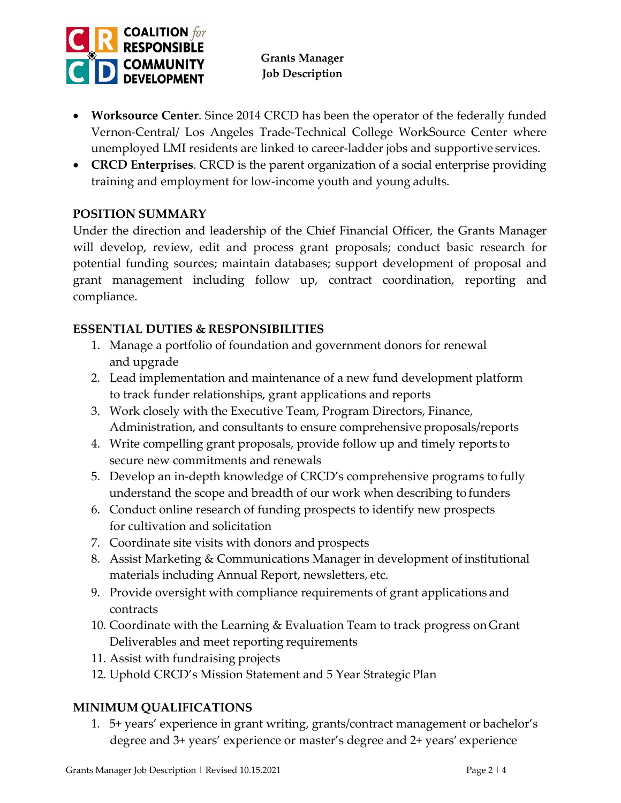

- **Worksource Center**. Since 2014 CRCD has been the operator of the federally funded Vernon-Central/ Los Angeles Trade-Technical College WorkSource Center where unemployed LMI residents are linked to career-ladder jobs and supportive services.
- **CRCD Enterprises**. CRCD is the parent organization of a social enterprise providing training and employment for low-income youth and young adults.

# **POSITION SUMMARY**

Under the direction and leadership of the Chief Financial Officer, the Grants Manager will develop, review, edit and process grant proposals; conduct basic research for potential funding sources; maintain databases; support development of proposal and grant management including follow up, contract coordination, reporting and compliance.

## **ESSENTIAL DUTIES & RESPONSIBILITIES**

- 1. Manage a portfolio of foundation and government donors for renewal and upgrade
- 2. Lead implementation and maintenance of a new fund development platform to track funder relationships, grant applications and reports
- 3. Work closely with the Executive Team, Program Directors, Finance, Administration, and consultants to ensure comprehensive proposals/reports
- 4. Write compelling grant proposals, provide follow up and timely reports to secure new commitments and renewals
- 5. Develop an in-depth knowledge of CRCD's comprehensive programs to fully understand the scope and breadth of our work when describing to funders
- 6. Conduct online research of funding prospects to identify new prospects for cultivation and solicitation
- 7. Coordinate site visits with donors and prospects
- 8. Assist Marketing & Communications Manager in development of institutional materials including Annual Report, newsletters, etc.
- 9. Provide oversight with compliance requirements of grant applications and contracts
- 10. Coordinate with the Learning & Evaluation Team to track progress onGrant Deliverables and meet reporting requirements
- 11. Assist with fundraising projects
- 12. Uphold CRCD's Mission Statement and 5 Year Strategic Plan

# **MINIMUM QUALIFICATIONS**

1. 5+ years' experience in grant writing, grants/contract management or bachelor's degree and 3+ years' experience or master's degree and 2+ years' experience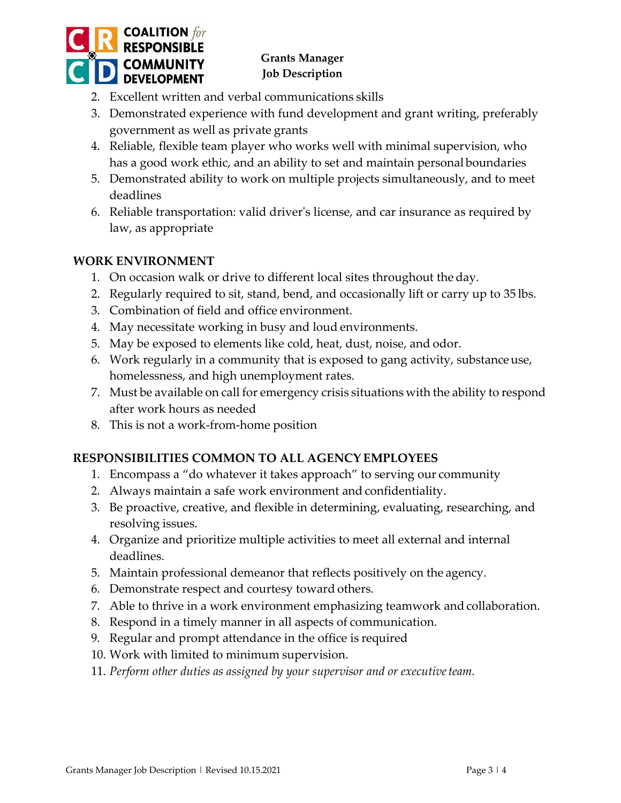

- 2. Excellent written and verbal communications skills
- 3. Demonstrated experience with fund development and grant writing, preferably government as well as private grants
- 4. Reliable, flexible team player who works well with minimal supervision, who has a good work ethic, and an ability to set and maintain personal boundaries
- 5. Demonstrated ability to work on multiple projects simultaneously, and to meet deadlines
- 6. Reliable transportation: valid driver's license, and car insurance as required by law, as appropriate

#### **WORK ENVIRONMENT**

- 1. On occasion walk or drive to different local sites throughout the day.
- 2. Regularly required to sit, stand, bend, and occasionally lift or carry up to 35 lbs.
- 3. Combination of field and office environment.
- 4. May necessitate working in busy and loud environments.
- 5. May be exposed to elements like cold, heat, dust, noise, and odor.
- 6. Work regularly in a community that is exposed to gang activity, substanceuse, homelessness, and high unemployment rates.
- 7. Must be available on call for emergency crisis situations with the ability to respond after work hours as needed
- 8. This is not a work-from-home position

## **RESPONSIBILITIES COMMON TO ALL AGENCY EMPLOYEES**

- 1. Encompass a "do whatever it takes approach" to serving our community
- 2. Always maintain a safe work environment and confidentiality.
- 3. Be proactive, creative, and flexible in determining, evaluating, researching, and resolving issues.
- 4. Organize and prioritize multiple activities to meet all external and internal deadlines.
- 5. Maintain professional demeanor that reflects positively on the agency.
- 6. Demonstrate respect and courtesy toward others.
- 7. Able to thrive in a work environment emphasizing teamwork and collaboration.
- 8. Respond in a timely manner in all aspects of communication.
- 9. Regular and prompt attendance in the office is required
- 10. Work with limited to minimum supervision.
- 11. Perform other duties as assigned by your supervisor and or executive team.